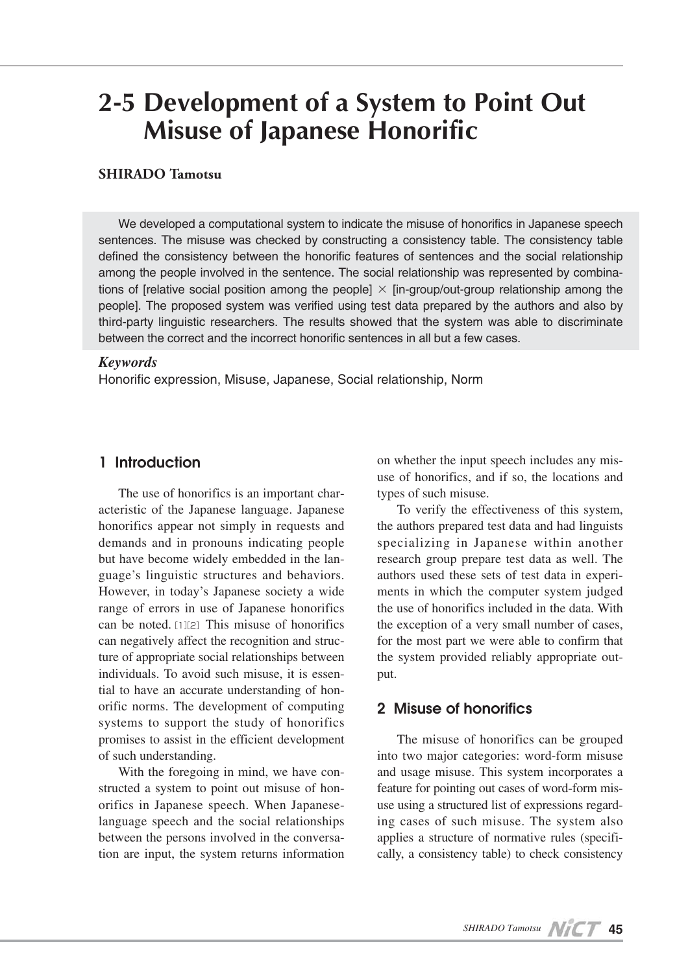# **2-5 Development of a System to Point Out Misuse of Japanese Honorific**

## **SHIRADO Tamotsu**

We developed a computational system to indicate the misuse of honorifics in Japanese speech sentences. The misuse was checked by constructing a consistency table. The consistency table defined the consistency between the honorific features of sentences and the social relationship among the people involved in the sentence. The social relationship was represented by combinations of [relative social position among the people]  $\times$  [in-group/out-group relationship among the people]. The proposed system was verified using test data prepared by the authors and also by third-party linguistic researchers. The results showed that the system was able to discriminate between the correct and the incorrect honorific sentences in all but a few cases.

#### *Keywords*

Honorific expression, Misuse, Japanese, Social relationship, Norm

## **1 Introduction**

The use of honorifics is an important characteristic of the Japanese language. Japanese honorifics appear not simply in requests and demands and in pronouns indicating people but have become widely embedded in the language's linguistic structures and behaviors. However, in today's Japanese society a wide range of errors in use of Japanese honorifics can be noted.[1][2]This misuse of honorifics can negatively affect the recognition and structure of appropriate social relationships between individuals. To avoid such misuse, it is essential to have an accurate understanding of honorific norms. The development of computing systems to support the study of honorifics promises to assist in the efficient development of such understanding.

With the foregoing in mind, we have constructed a system to point out misuse of honorifics in Japanese speech. When Japaneselanguage speech and the social relationships between the persons involved in the conversation are input, the system returns information on whether the input speech includes any misuse of honorifics, and if so, the locations and types of such misuse.

To verify the effectiveness of this system, the authors prepared test data and had linguists specializing in Japanese within another research group prepare test data as well. The authors used these sets of test data in experiments in which the computer system judged the use of honorifics included in the data. With the exception of a very small number of cases, for the most part we were able to confirm that the system provided reliably appropriate output.

# **2 Misuse of honorifics**

The misuse of honorifics can be grouped into two major categories: word-form misuse and usage misuse. This system incorporates a feature for pointing out cases of word-form misuse using a structured list of expressions regarding cases of such misuse. The system also applies a structure of normative rules (specifically, a consistency table) to check consistency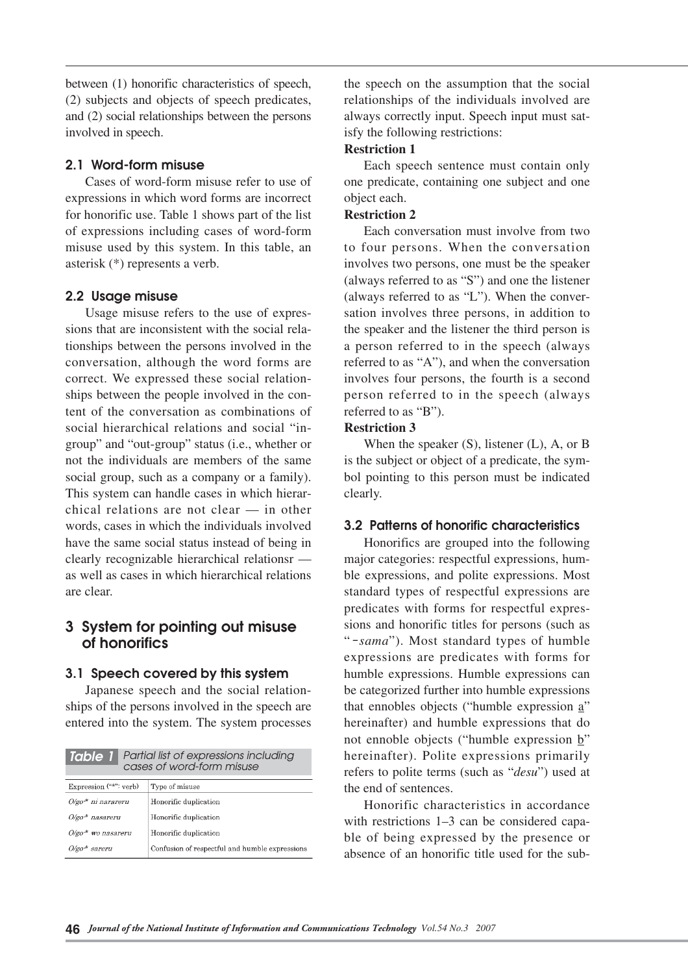between (1) honorific characteristics of speech, (2) subjects and objects of speech predicates, and (2) social relationships between the persons involved in speech.

#### **2.1 Word-form misuse**

Cases of word-form misuse refer to use of expressions in which word forms are incorrect for honorific use. Table 1 shows part of the list of expressions including cases of word-form misuse used by this system. In this table, an asterisk (\*) represents a verb.

## **2.2 Usage misuse**

Usage misuse refers to the use of expressions that are inconsistent with the social relationships between the persons involved in the conversation, although the word forms are correct. We expressed these social relationships between the people involved in the content of the conversation as combinations of social hierarchical relations and social "ingroup" and "out-group" status (i.e., whether or not the individuals are members of the same social group, such as a company or a family). This system can handle cases in which hierarchical relations are not clear — in other words, cases in which the individuals involved have the same social status instead of being in clearly recognizable hierarchical relationsr as well as cases in which hierarchical relations are clear.

# **3 System for pointing out misuse of honorifics**

## **3.1 Speech covered by this system**

Japanese speech and the social relationships of the persons involved in the speech are entered into the system. The system processes

| Partial list of expressions including<br>Table 1<br>cases of word-form misuse |                                                |  |
|-------------------------------------------------------------------------------|------------------------------------------------|--|
| Expression ("*": verb)                                                        | Type of misuse                                 |  |
| $O$ /go* ni narareru                                                          | Honorific duplication                          |  |
| $O$ /go <sup>-*</sup> nasareru                                                | Honorific duplication                          |  |
| $O$ /go <sup>*</sup> wo nasareru                                              | Honorific duplication                          |  |
| $O/\varepsilon$ o $*$ sareru                                                  | Confusion of respectful and humble expressions |  |

the speech on the assumption that the social relationships of the individuals involved are always correctly input. Speech input must satisfy the following restrictions:

#### **Restriction 1**

Each speech sentence must contain only one predicate, containing one subject and one object each.

#### **Restriction 2**

Each conversation must involve from two to four persons. When the conversation involves two persons, one must be the speaker (always referred to as "S") and one the listener (always referred to as "L"). When the conversation involves three persons, in addition to the speaker and the listener the third person is a person referred to in the speech (always referred to as "A"), and when the conversation involves four persons, the fourth is a second person referred to in the speech (always referred to as "B").

### **Restriction 3**

When the speaker (S), listener (L), A, or B is the subject or object of a predicate, the symbol pointing to this person must be indicated clearly.

## **3.2 Patterns of honorific characteristics**

Honorifics are grouped into the following major categories: respectful expressions, humble expressions, and polite expressions. Most standard types of respectful expressions are predicates with forms for respectful expressions and honorific titles for persons (such as "-*sama*"). Most standard types of humble expressions are predicates with forms for humble expressions. Humble expressions can be categorized further into humble expressions that ennobles objects ("humble expression a" hereinafter) and humble expressions that do not ennoble objects ("humble expression  $\underline{b}$ " hereinafter). Polite expressions primarily refers to polite terms (such as "*desu*") used at the end of sentences.

Honorific characteristics in accordance with restrictions 1–3 can be considered capable of being expressed by the presence or absence of an honorific title used for the sub-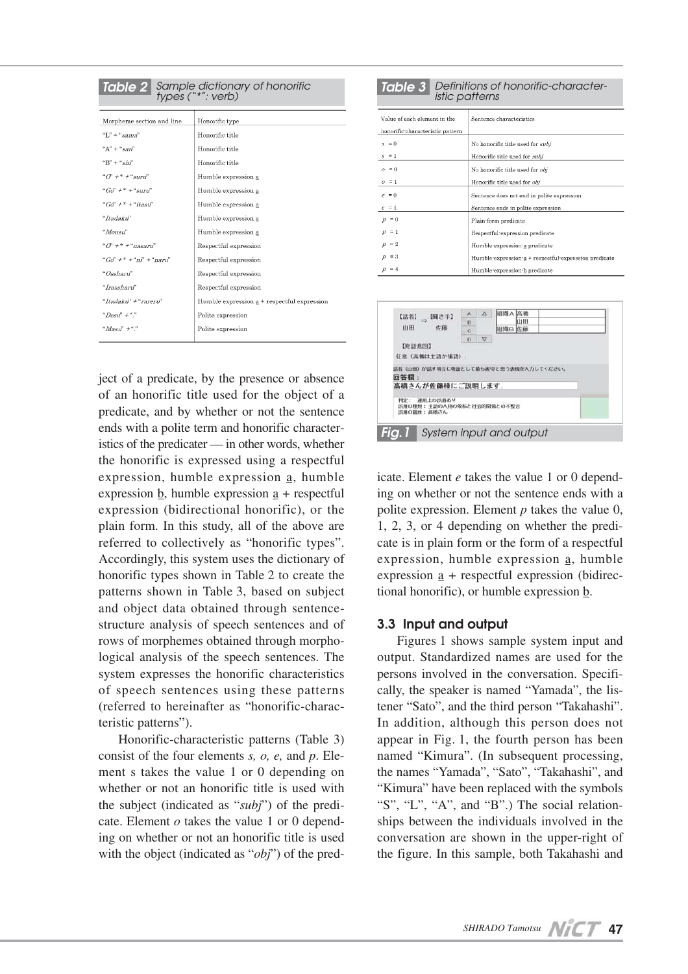| <b>Table 2</b> Sample dictionary of honorific<br>types ("*": verb) |                                             |  |
|--------------------------------------------------------------------|---------------------------------------------|--|
| Morpheme section and line                                          | Honorific type                              |  |
| $T'' +$ "sama"                                                     | Honorific title                             |  |
| " $A" + "sgn"$                                                     | Honorific title                             |  |
| $"B" + "sh"$                                                       | Honorific title                             |  |
| $^{\alpha}O^{\gamma}$ + $^{\ast}$ + $^{\mu}$ surn <sup>"</sup>     | Humble expression a                         |  |
| $^{\circ}$ Go" + * + "suru"                                        | Humble expression a                         |  |
| $``G\sigma" + * + "itasi"$                                         | Humble expression a                         |  |
| "Itadaku"                                                          | Humble expression a                         |  |
| "Mousu"                                                            | Humble expression a                         |  |
| $"C' + * + "nasami"$                                               | Respectful expression                       |  |
| $^{4}Gd^{2} \neq ^{*} + ^{4}nI^{2} + ^{4}narnI^{2}$                | Respectful expression                       |  |
| "Ossharii"                                                         | Respectful expression                       |  |
| "Irassharii"                                                       | Respectful expression                       |  |
| "Itadaku" + "rareru"                                               | Humble expression a + respectful expression |  |
| " $Desif' +$ "."                                                   | Polite expression                           |  |
| " $Mask'' +$ "."                                                   | Polite expression                           |  |
|                                                                    |                                             |  |

ject of a predicate, by the presence or absence of an honorific title used for the object of a predicate, and by whether or not the sentence ends with a polite term and honorific characteristics of the predicater — in other words, whether the honorific is expressed using a respectful expression, humble expression a, humble expression b, humble expression a + respectful expression (bidirectional honorific), or the plain form. In this study, all of the above are referred to collectively as "honorific types". Accordingly, this system uses the dictionary of honorific types shown in Table 2 to create the patterns shown in Table 3, based on subject and object data obtained through sentencestructure analysis of speech sentences and of rows of morphemes obtained through morphological analysis of the speech sentences. The system expresses the honorific characteristics of speech sentences using these patterns (referred to hereinafter as "honorific-characteristic patterns").

Honorific-characteristic patterns (Table 3) consist of the four elements *s, o, e,* and *p*. Element s takes the value 1 or 0 depending on whether or not an honorific title is used with the subject (indicated as "*subj*") of the predicate. Element *o* takes the value 1 or 0 depending on whether or not an honorific title is used with the object (indicated as "*obj*") of the pred-

| <b>Table 3</b> Definitions of honorific-character-<br><i>istic patterns</i> |                                                       |  |
|-----------------------------------------------------------------------------|-------------------------------------------------------|--|
| Value of each element in the                                                | Sentence characteristics                              |  |
| honorific characteristic pattern                                            |                                                       |  |
| $s = 0$                                                                     | No honorific title used for <i>subi</i>               |  |
| $s = 1$                                                                     | Honorific title used for subj                         |  |
| $\theta = 0$                                                                | No honorific title used for <i>obi</i>                |  |
| $\rho = 1$                                                                  | Honorific title used for obj                          |  |
| $\rho = 0$                                                                  | Sentence does not end in polite expression            |  |
| $e = 1$                                                                     | Sentence ends in polite expression                    |  |
| $p = 0$                                                                     | Plain form predicate                                  |  |
| $p = 1$                                                                     | Respectful expression predicate                       |  |
| $=2$<br>$\boldsymbol{v}$                                                    | Humble-expression-a predicate                         |  |
| $=$ 3<br>$\boldsymbol{D}$                                                   | Humble-expression-a + respectful-expression predicate |  |
| $=4$                                                                        | Humble-expression-b predicate                         |  |



icate. Element *e* takes the value 1 or 0 depending on whether or not the sentence ends with a polite expression. Element *p* takes the value 0, 1, 2, 3, or 4 depending on whether the predicate is in plain form or the form of a respectful expression, humble expression a, humble expression  $\underline{a}$  + respectful expression (bidirectional honorific), or humble expression b.

#### **3.3 Input and output**

Figures 1 shows sample system input and output. Standardized names are used for the persons involved in the conversation. Specifically, the speaker is named "Yamada", the listener "Sato", and the third person "Takahashi". In addition, although this person does not appear in Fig. 1, the fourth person has been named "Kimura". (In subsequent processing, the names "Yamada", "Sato", "Takahashi", and "Kimura" have been replaced with the symbols "S", "L", "A", and "B".) The social relationships between the individuals involved in the conversation are shown in the upper-right of the figure. In this sample, both Takahashi and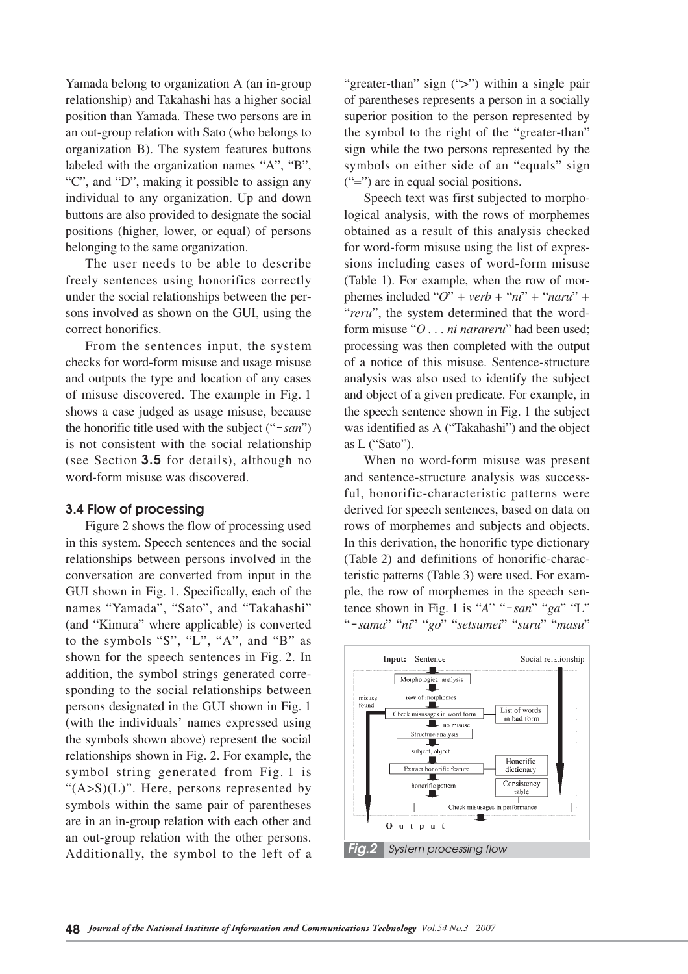Yamada belong to organization A (an in-group relationship) and Takahashi has a higher social position than Yamada. These two persons are in an out-group relation with Sato (who belongs to organization B). The system features buttons labeled with the organization names "A", "B", "C", and "D", making it possible to assign any individual to any organization. Up and down buttons are also provided to designate the social positions (higher, lower, or equal) of persons belonging to the same organization.

The user needs to be able to describe freely sentences using honorifics correctly under the social relationships between the persons involved as shown on the GUI, using the correct honorifics.

From the sentences input, the system checks for word-form misuse and usage misuse and outputs the type and location of any cases of misuse discovered. The example in Fig. 1 shows a case judged as usage misuse, because the honorific title used with the subject ("-*san*") is not consistent with the social relationship (see Section **3.5** for details), although no word-form misuse was discovered.

#### **3.4 Flow of processing**

Figure 2 shows the flow of processing used in this system. Speech sentences and the social relationships between persons involved in the conversation are converted from input in the GUI shown in Fig. 1. Specifically, each of the names "Yamada", "Sato", and "Takahashi" (and "Kimura" where applicable) is converted to the symbols "S", "L", "A", and "B" as shown for the speech sentences in Fig. 2. In addition, the symbol strings generated corresponding to the social relationships between persons designated in the GUI shown in Fig. 1 (with the individuals' names expressed using the symbols shown above) represent the social relationships shown in Fig. 2. For example, the symbol string generated from Fig. 1 is " $(A>S)(L)$ ". Here, persons represented by symbols within the same pair of parentheses are in an in-group relation with each other and an out-group relation with the other persons. Additionally, the symbol to the left of a

"greater-than" sign (">") within a single pair of parentheses represents a person in a socially superior position to the person represented by the symbol to the right of the "greater-than" sign while the two persons represented by the symbols on either side of an "equals" sign  $("=")$  are in equal social positions.

Speech text was first subjected to morphological analysis, with the rows of morphemes obtained as a result of this analysis checked for word-form misuse using the list of expressions including cases of word-form misuse (Table 1). For example, when the row of morphemes included " $O$ " + verb + " $ni$ " + " $naru$ " + "*reru*", the system determined that the wordform misuse "*O . . . ni narareru*" had been used; processing was then completed with the output of a notice of this misuse. Sentence-structure analysis was also used to identify the subject and object of a given predicate. For example, in the speech sentence shown in Fig. 1 the subject was identified as A ("Takahashi") and the object as L ("Sato").

When no word-form misuse was present and sentence-structure analysis was successful, honorific-characteristic patterns were derived for speech sentences, based on data on rows of morphemes and subjects and objects. In this derivation, the honorific type dictionary (Table 2) and definitions of honorific-characteristic patterns (Table 3) were used. For example, the row of morphemes in the speech sentence shown in Fig. 1 is "*A*" "-*san*" "*ga*" "L" "-*sama*" "*ni*" "*go*" "*setsumei*" "*suru*" "*masu*"

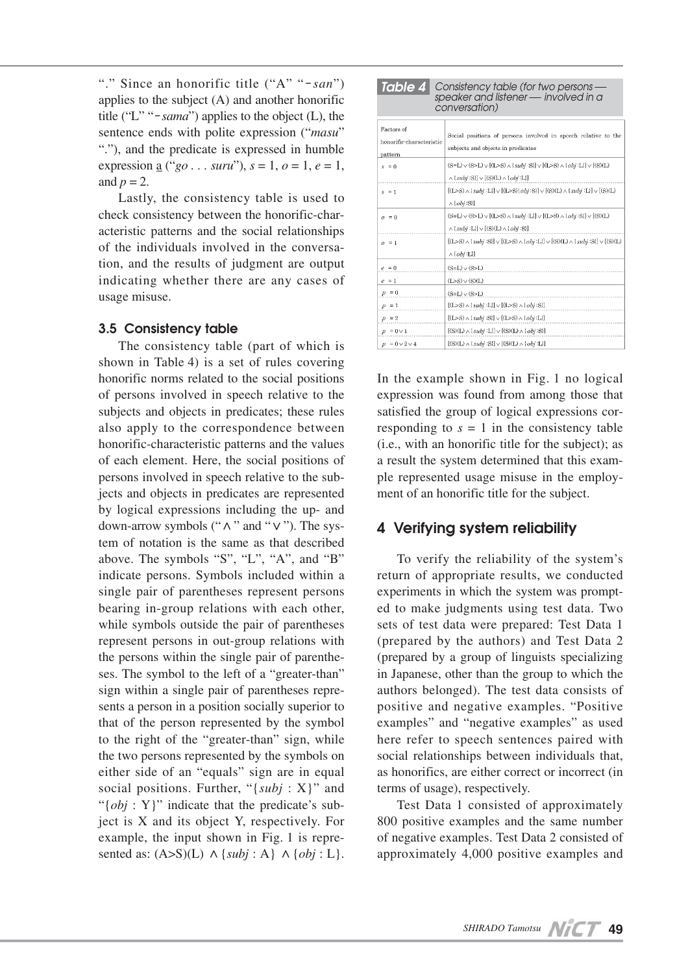"." Since an honorific title ("A" "-*san*") applies to the subject (A) and another honorific title ("L" "-*sama*") applies to the object (L), the sentence ends with polite expression ("*masu*" "."), and the predicate is expressed in humble expression <u>a</u> ("*go* . . . *suru*"), *s* = 1, *o* = 1, *e* = 1, and  $p = 2$ .

Lastly, the consistency table is used to check consistency between the honorific-characteristic patterns and the social relationships of the individuals involved in the conversation, and the results of judgment are output indicating whether there are any cases of usage misuse.

#### **3.5 Consistency table**

The consistency table (part of which is shown in Table 4) is a set of rules covering honorific norms related to the social positions of persons involved in speech relative to the subjects and objects in predicates; these rules also apply to the correspondence between honorific-characteristic patterns and the values of each element. Here, the social positions of persons involved in speech relative to the subjects and objects in predicates are represented by logical expressions including the up- and down-arrow symbols (" $\wedge$ " and " $\vee$ "). The system of notation is the same as that described above. The symbols "S", "L", "A", and "B" indicate persons. Symbols included within a single pair of parentheses represent persons bearing in-group relations with each other, while symbols outside the pair of parentheses represent persons in out-group relations with the persons within the single pair of parentheses. The symbol to the left of a "greater-than" sign within a single pair of parentheses represents a person in a position socially superior to that of the person represented by the symbol to the right of the "greater-than" sign, while the two persons represented by the symbols on either side of an "equals" sign are in equal social positions. Further, "{*subj* : X}" and "{*obj* : Y}" indicate that the predicate's subject is X and its object Y, respectively. For example, the input shown in Fig. 1 is represented as:  $(A>S)(L) \wedge \{subj : A\} \wedge \{obj : L\}.$ 

| TADI <del>C</del> 41<br>CONSIGNCY IGNIE (IOI IWO DEISONS<br>speaker and listener — involved in a<br>conversation) |                                                                                                                                                           |  |
|-------------------------------------------------------------------------------------------------------------------|-----------------------------------------------------------------------------------------------------------------------------------------------------------|--|
| Factors of<br>honorific-characteristic<br>pattern                                                                 | Social positions of persons involved in speech relative to the<br>subjects and objects in predicates                                                      |  |
| $s = 0$                                                                                                           | $(S=L) \vee (S>L) \vee [(L>S) \wedge \{subj : S\}] \vee [(L>S) \wedge \{obj : L\}] \vee [(S)(L)$<br>$\wedge$ {subj :S}] $\vee$ [(S)(L) $\wedge$ {obj :L}] |  |
| $s = 1$                                                                                                           | $[(L>S) \wedge \{subj : L\}] \vee [(L>S) \{obj : S\}] \vee [(S)(L) \wedge \{subj : L\}] \vee [(S)(L)$<br>$\wedge \{obj : S\}$                             |  |
| $o = 0$                                                                                                           | $(S=L) \vee (S>L) \vee [(L>S) \wedge {subj : L}] \vee [(L>S) \wedge {obj : S}] \vee [(S)(L)$<br>$\wedge$ {subj :L}] $\vee$ [(S)(L) $\wedge$ {obj :S}]     |  |
| $o = 1$                                                                                                           | $[(L>S) \wedge \{subj : S\}] \vee [(L>S) \wedge \{obj : L\}] \vee [(S)(L) \wedge \{subj : S\}] \vee [(S)(L)$<br>$\wedge$ { $obj$ :L{]                     |  |
| $e = 0$                                                                                                           | $(S=L) \vee (S>L)$                                                                                                                                        |  |
| $e = 1$                                                                                                           | $(L > S) \vee (S)(L)$                                                                                                                                     |  |
| $p = 0$                                                                                                           | $(S=L) \vee (S>L)$                                                                                                                                        |  |
| $p = 1$                                                                                                           | $[(L>S) \wedge {subj}:L] \vee [(L>S) \wedge {obj}:S]$                                                                                                     |  |
| $p = 2$                                                                                                           | $[(L>S) \wedge {subj :S}]\vee [(L>S) \wedge {obj :L}]$                                                                                                    |  |
| $p = 0 \vee 1$                                                                                                    | $[(S)(L) \wedge \{subj : L\}] \vee [(S)(L) \wedge \{obj : S\}]$                                                                                           |  |
| $p = 0 \vee 2 \vee 4$                                                                                             | $[(S)(L) \wedge {subi : S}] \vee [(S)(L) \wedge {obj : L}]$                                                                                               |  |

*Table 4 Consistency table (for two persons* — *speaker and listener* — *involved in a*

In the example shown in Fig. 1 no logical expression was found from among those that satisfied the group of logical expressions corresponding to  $s = 1$  in the consistency table (i.e., with an honorific title for the subject); as a result the system determined that this example represented usage misuse in the employment of an honorific title for the subject.

# **4 Verifying system reliability**

To verify the reliability of the system's return of appropriate results, we conducted experiments in which the system was prompted to make judgments using test data. Two sets of test data were prepared: Test Data 1 (prepared by the authors) and Test Data 2 (prepared by a group of linguists specializing in Japanese, other than the group to which the authors belonged). The test data consists of positive and negative examples. "Positive examples" and "negative examples" as used here refer to speech sentences paired with social relationships between individuals that, as honorifics, are either correct or incorrect (in terms of usage), respectively.

Test Data 1 consisted of approximately 800 positive examples and the same number of negative examples. Test Data 2 consisted of approximately 4,000 positive examples and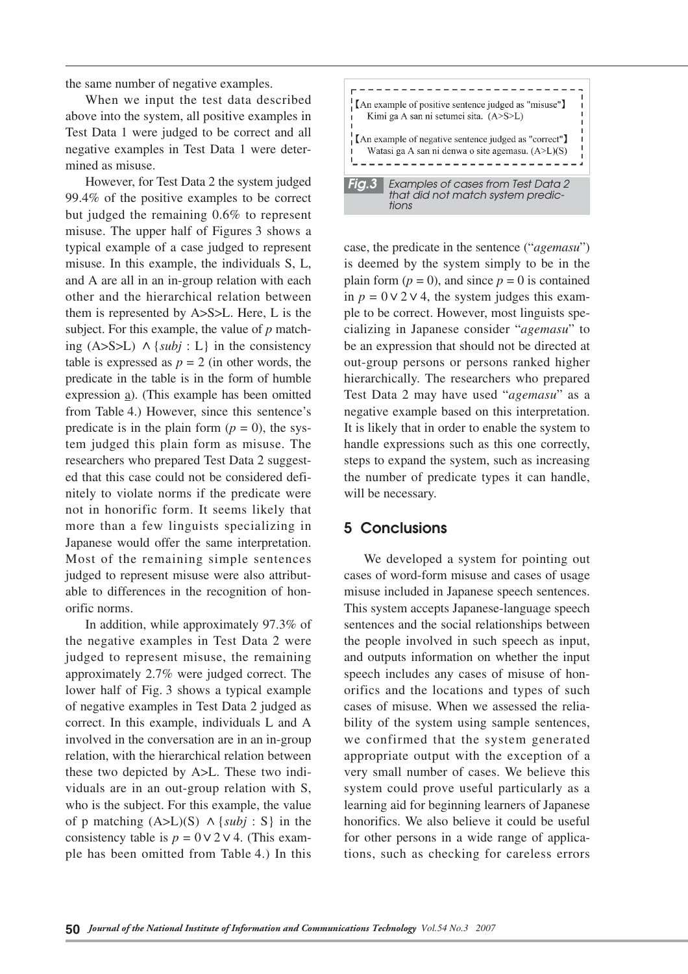the same number of negative examples.

When we input the test data described above into the system, all positive examples in Test Data 1 were judged to be correct and all negative examples in Test Data 1 were determined as misuse.

However, for Test Data 2 the system judged 99.4% of the positive examples to be correct but judged the remaining 0.6% to represent misuse. The upper half of Figures 3 shows a typical example of a case judged to represent misuse. In this example, the individuals S, L, and A are all in an in-group relation with each other and the hierarchical relation between them is represented by A>S>L. Here, L is the subject. For this example, the value of *p* matching  $(A>S>L) \wedge \{subj : L\}$  in the consistency table is expressed as  $p = 2$  (in other words, the predicate in the table is in the form of humble expression a). (This example has been omitted from Table 4.) However, since this sentence's predicate is in the plain form  $(p = 0)$ , the system judged this plain form as misuse. The researchers who prepared Test Data 2 suggested that this case could not be considered definitely to violate norms if the predicate were not in honorific form. It seems likely that more than a few linguists specializing in Japanese would offer the same interpretation. Most of the remaining simple sentences judged to represent misuse were also attributable to differences in the recognition of honorific norms.

In addition, while approximately 97.3% of the negative examples in Test Data 2 were judged to represent misuse, the remaining approximately 2.7% were judged correct. The lower half of Fig. 3 shows a typical example of negative examples in Test Data 2 judged as correct. In this example, individuals L and A involved in the conversation are in an in-group relation, with the hierarchical relation between these two depicted by A>L. These two individuals are in an out-group relation with S, who is the subject. For this example, the value of p matching  $(A>L)(S) \wedge \{subj : S\}$  in the consistency table is  $p = 0 \vee 2 \vee 4$ . (This example has been omitted from Table 4.) In this



case, the predicate in the sentence ("*agemasu*") is deemed by the system simply to be in the plain form  $(p = 0)$ , and since  $p = 0$  is contained in  $p = 0 \vee 2 \vee 4$ , the system judges this example to be correct. However, most linguists specializing in Japanese consider "*agemasu*" to be an expression that should not be directed at out-group persons or persons ranked higher hierarchically. The researchers who prepared Test Data 2 may have used "*agemasu*" as a negative example based on this interpretation. It is likely that in order to enable the system to handle expressions such as this one correctly, steps to expand the system, such as increasing the number of predicate types it can handle, will be necessary.

## **5 Conclusions**

We developed a system for pointing out cases of word-form misuse and cases of usage misuse included in Japanese speech sentences. This system accepts Japanese-language speech sentences and the social relationships between the people involved in such speech as input, and outputs information on whether the input speech includes any cases of misuse of honorifics and the locations and types of such cases of misuse. When we assessed the reliability of the system using sample sentences, we confirmed that the system generated appropriate output with the exception of a very small number of cases. We believe this system could prove useful particularly as a learning aid for beginning learners of Japanese honorifics. We also believe it could be useful for other persons in a wide range of applications, such as checking for careless errors